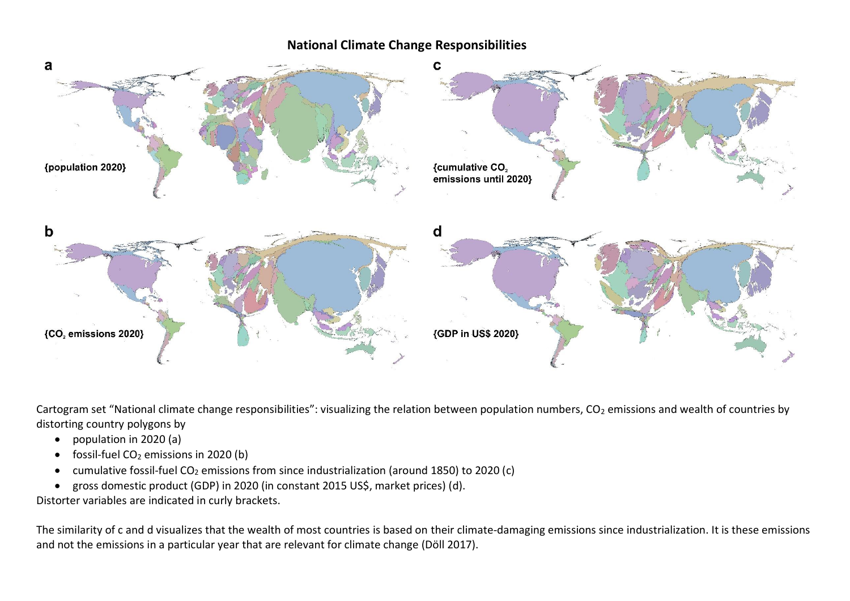## **National Climate Change Responsibilities**



Cartogram set "National climate change responsibilities": visualizing the relation between population numbers,  $CO<sub>2</sub>$  emissions and wealth of countries by distorting country polygons by

- population in 2020 (a)
- fossil-fuel  $CO<sub>2</sub>$  emissions in 2020 (b)
- cumulative fossil-fuel CO<sup>2</sup> emissions from since industrialization (around 1850) to 2020 (c)
- gross domestic product (GDP) in 2020 (in constant 2015 US\$, market prices) (d).

Distorter variables are indicated in curly brackets.

The similarity of c and d visualizes that the wealth of most countries is based on their climate-damaging emissions since industrialization. It is these emissions and not the emissions in a particular year that are relevant for climate change (Döll 2017).